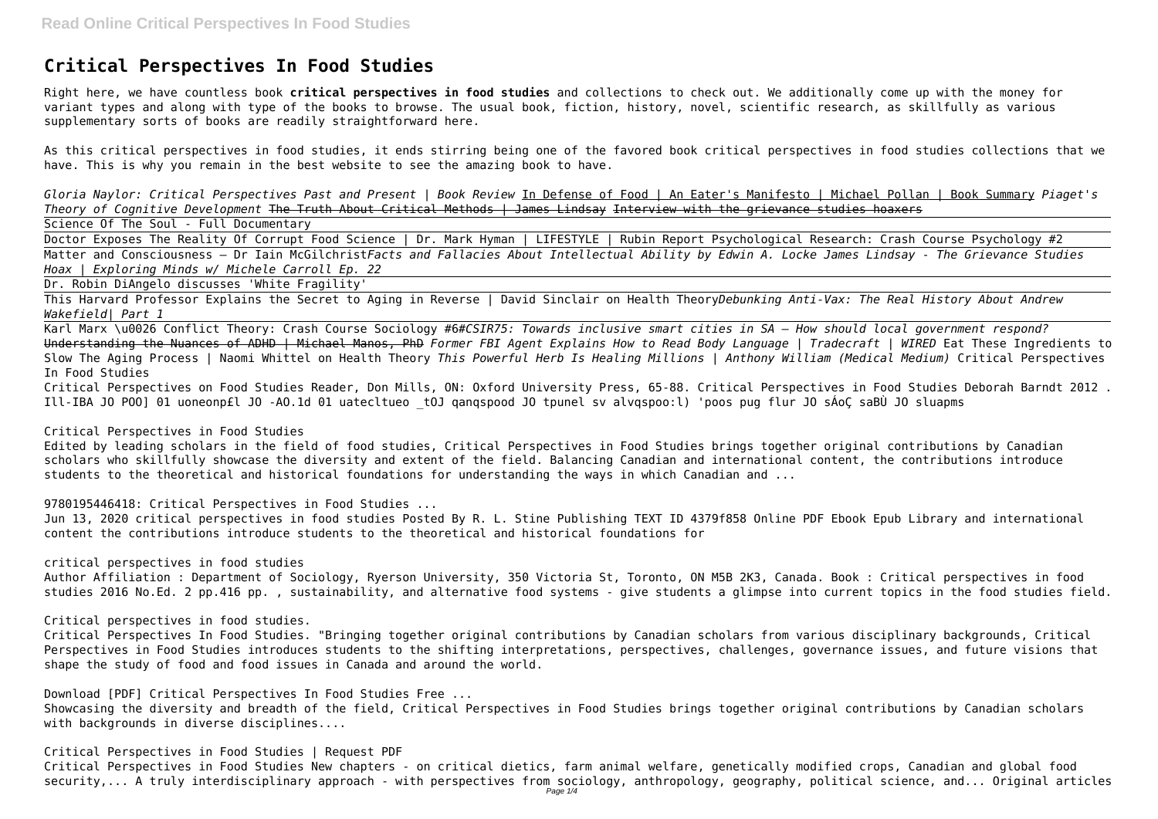## **Critical Perspectives In Food Studies**

Right here, we have countless book **critical perspectives in food studies** and collections to check out. We additionally come up with the money for variant types and along with type of the books to browse. The usual book, fiction, history, novel, scientific research, as skillfully as various supplementary sorts of books are readily straightforward here.

As this critical perspectives in food studies, it ends stirring being one of the favored book critical perspectives in food studies collections that we have. This is why you remain in the best website to see the amazing book to have.

Doctor Exposes The Reality Of Corrupt Food Science | Dr. Mark Hyman | LIFESTYLE | Rubin Report Psychological Research: Crash Course Psychology #2 Matter and Consciousness – Dr Iain McGilchrist*Facts and Fallacies About Intellectual Ability by Edwin A. Locke James Lindsay - The Grievance Studies Hoax | Exploring Minds w/ Michele Carroll Ep. 22*

*Gloria Naylor: Critical Perspectives Past and Present | Book Review* In Defense of Food | An Eater's Manifesto | Michael Pollan | Book Summary *Piaget's Theory of Cognitive Development* The Truth About Critical Methods | James Lindsay Interview with the grievance studies hoaxers Science Of The Soul - Full Documentary

Dr. Robin DiAngelo discusses 'White Fragility'

This Harvard Professor Explains the Secret to Aging in Reverse | David Sinclair on Health Theory*Debunking Anti-Vax: The Real History About Andrew Wakefield| Part 1*

Karl Marx \u0026 Conflict Theory: Crash Course Sociology #6*#CSIR75: Towards inclusive smart cities in SA – How should local government respond?* Understanding the Nuances of ADHD | Michael Manos, PhD *Former FBI Agent Explains How to Read Body Language | Tradecraft | WIRED* Eat These Ingredients to Slow The Aging Process | Naomi Whittel on Health Theory *This Powerful Herb Is Healing Millions | Anthony William (Medical Medium)* Critical Perspectives In Food Studies

Showcasing the diversity and breadth of the field, Critical Perspectives in Food Studies brings together original contributions by Canadian scholars with backgrounds in diverse disciplines....

Critical Perspectives on Food Studies Reader, Don Mills, ON: Oxford University Press, 65-88. Critical Perspectives in Food Studies Deborah Barndt 2012 . Ill-IBA JO POO] 01 uoneonp£l JO -AO.1d 01 uatecltueo \_tOJ qanqspood JO tpunel sv alvqspoo:l) 'poos pug flur JO sÁoÇ saBÙ JO sluapms

## Critical Perspectives in Food Studies

Edited by leading scholars in the field of food studies, Critical Perspectives in Food Studies brings together original contributions by Canadian scholars who skillfully showcase the diversity and extent of the field. Balancing Canadian and international content, the contributions introduce students to the theoretical and historical foundations for understanding the ways in which Canadian and ...

9780195446418: Critical Perspectives in Food Studies ...

Jun 13, 2020 critical perspectives in food studies Posted By R. L. Stine Publishing TEXT ID 4379f858 Online PDF Ebook Epub Library and international content the contributions introduce students to the theoretical and historical foundations for

critical perspectives in food studies

Author Affiliation : Department of Sociology, Ryerson University, 350 Victoria St, Toronto, ON M5B 2K3, Canada. Book : Critical perspectives in food studies 2016 No.Ed. 2 pp.416 pp. , sustainability, and alternative food systems - give students a glimpse into current topics in the food studies field.

Critical perspectives in food studies.

Critical Perspectives In Food Studies. "Bringing together original contributions by Canadian scholars from various disciplinary backgrounds, Critical Perspectives in Food Studies introduces students to the shifting interpretations, perspectives, challenges, governance issues, and future visions that shape the study of food and food issues in Canada and around the world.

Download [PDF] Critical Perspectives In Food Studies Free ...

Critical Perspectives in Food Studies | Request PDF Critical Perspectives in Food Studies New chapters - on critical dietics, farm animal welfare, genetically modified crops, Canadian and global food security,... A truly interdisciplinary approach - with perspectives from sociology, anthropology, geography, political science, and... Original articles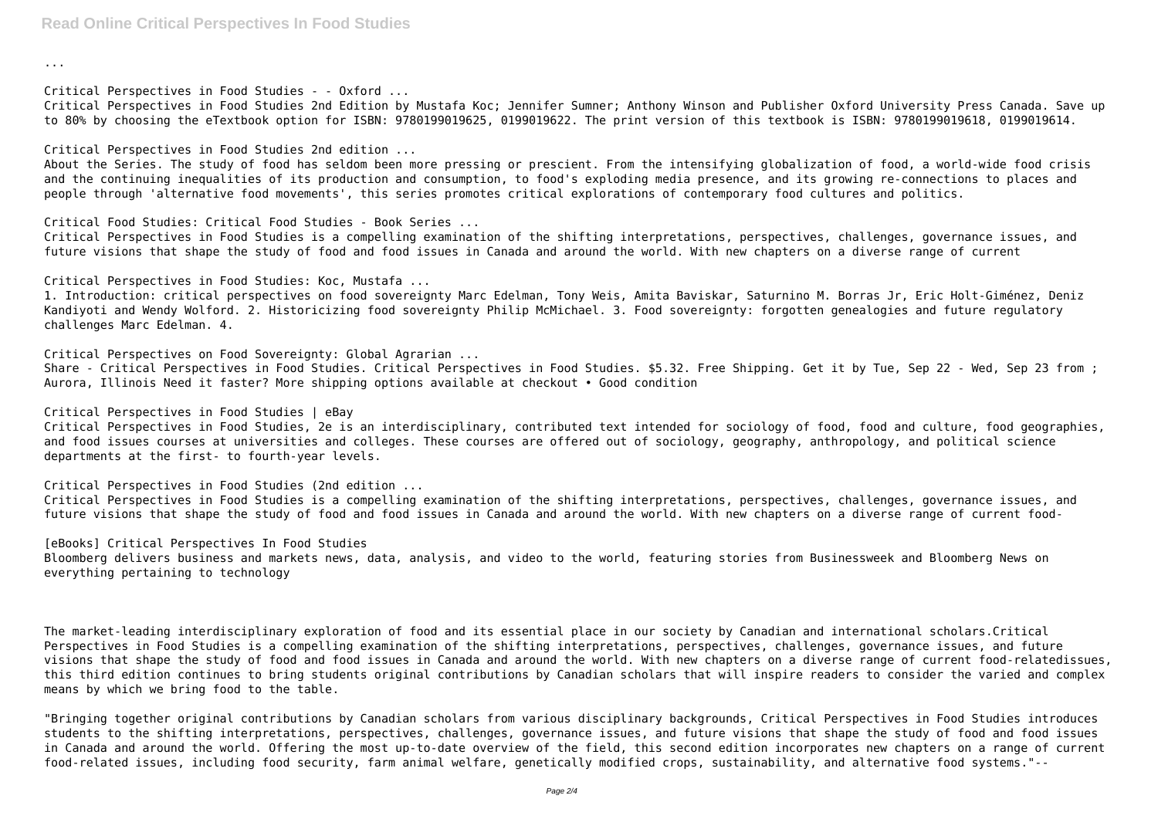**Read Online Critical Perspectives In Food Studies**

...

Critical Perspectives in Food Studies - - Oxford ... Critical Perspectives in Food Studies 2nd Edition by Mustafa Koc; Jennifer Sumner; Anthony Winson and Publisher Oxford University Press Canada. Save up to 80% by choosing the eTextbook option for ISBN: 9780199019625, 0199019622. The print version of this textbook is ISBN: 9780199019618, 0199019614.

Critical Perspectives in Food Studies 2nd edition ...

About the Series. The study of food has seldom been more pressing or prescient. From the intensifying globalization of food, a world-wide food crisis and the continuing inequalities of its production and consumption, to food's exploding media presence, and its growing re-connections to places and people through 'alternative food movements', this series promotes critical explorations of contemporary food cultures and politics.

Critical Food Studies: Critical Food Studies - Book Series ... Critical Perspectives in Food Studies is a compelling examination of the shifting interpretations, perspectives, challenges, governance issues, and future visions that shape the study of food and food issues in Canada and around the world. With new chapters on a diverse range of current

Critical Perspectives in Food Studies: Koc, Mustafa ...

1. Introduction: critical perspectives on food sovereignty Marc Edelman, Tony Weis, Amita Baviskar, Saturnino M. Borras Jr, Eric Holt-Giménez, Deniz Kandiyoti and Wendy Wolford. 2. Historicizing food sovereignty Philip McMichael. 3. Food sovereignty: forgotten genealogies and future regulatory challenges Marc Edelman. 4.

Critical Perspectives on Food Sovereignty: Global Agrarian ...

Share - Critical Perspectives in Food Studies. Critical Perspectives in Food Studies. \$5.32. Free Shipping. Get it by Tue, Sep 22 - Wed, Sep 23 from ; Aurora, Illinois Need it faster? More shipping options available at checkout • Good condition

Critical Perspectives in Food Studies | eBay

Critical Perspectives in Food Studies, 2e is an interdisciplinary, contributed text intended for sociology of food, food and culture, food geographies, and food issues courses at universities and colleges. These courses are offered out of sociology, geography, anthropology, and political science departments at the first- to fourth-year levels.

Critical Perspectives in Food Studies (2nd edition ... Critical Perspectives in Food Studies is a compelling examination of the shifting interpretations, perspectives, challenges, governance issues, and future visions that shape the study of food and food issues in Canada and around the world. With new chapters on a diverse range of current food-

[eBooks] Critical Perspectives In Food Studies Bloomberg delivers business and markets news, data, analysis, and video to the world, featuring stories from Businessweek and Bloomberg News on everything pertaining to technology

The market-leading interdisciplinary exploration of food and its essential place in our society by Canadian and international scholars.Critical Perspectives in Food Studies is a compelling examination of the shifting interpretations, perspectives, challenges, governance issues, and future visions that shape the study of food and food issues in Canada and around the world. With new chapters on a diverse range of current food-relatedissues, this third edition continues to bring students original contributions by Canadian scholars that will inspire readers to consider the varied and complex means by which we bring food to the table.

"Bringing together original contributions by Canadian scholars from various disciplinary backgrounds, Critical Perspectives in Food Studies introduces students to the shifting interpretations, perspectives, challenges, governance issues, and future visions that shape the study of food and food issues in Canada and around the world. Offering the most up-to-date overview of the field, this second edition incorporates new chapters on a range of current food-related issues, including food security, farm animal welfare, genetically modified crops, sustainability, and alternative food systems."--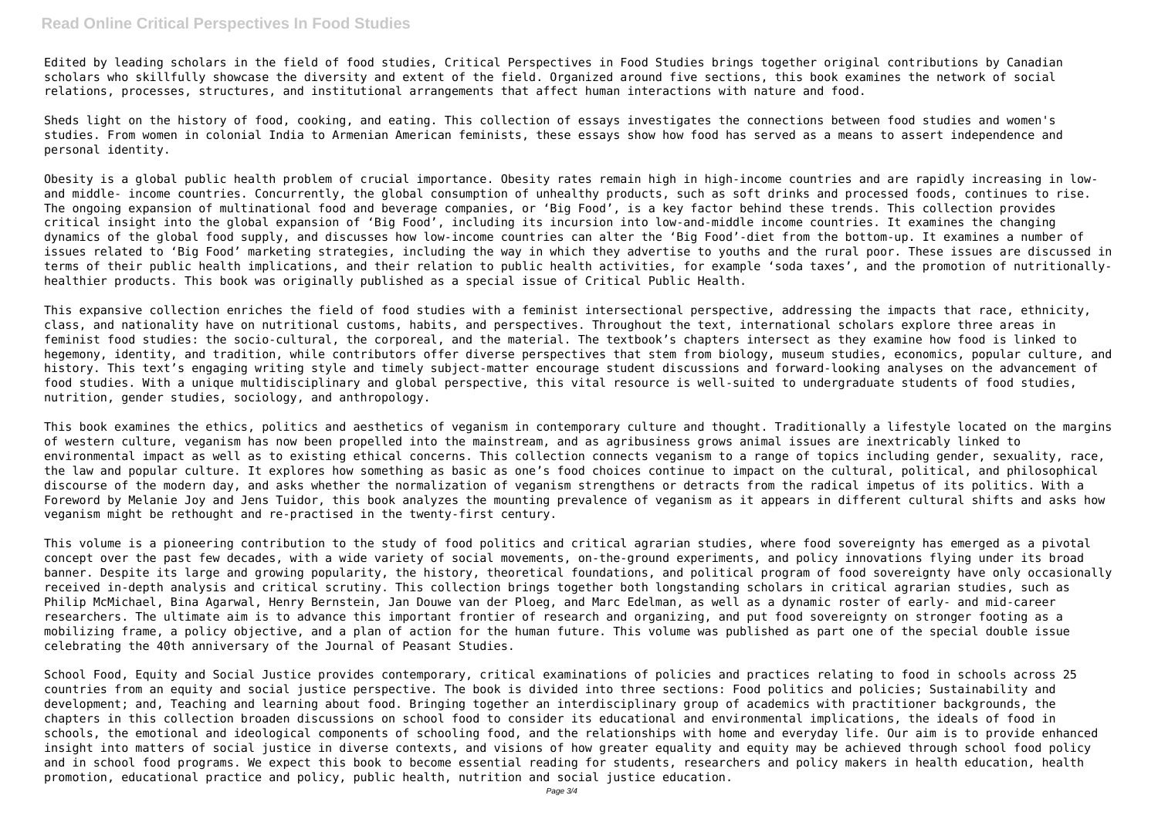## **Read Online Critical Perspectives In Food Studies**

Edited by leading scholars in the field of food studies, Critical Perspectives in Food Studies brings together original contributions by Canadian scholars who skillfully showcase the diversity and extent of the field. Organized around five sections, this book examines the network of social relations, processes, structures, and institutional arrangements that affect human interactions with nature and food.

Sheds light on the history of food, cooking, and eating. This collection of essays investigates the connections between food studies and women's studies. From women in colonial India to Armenian American feminists, these essays show how food has served as a means to assert independence and personal identity.

Obesity is a global public health problem of crucial importance. Obesity rates remain high in high-income countries and are rapidly increasing in lowand middle- income countries. Concurrently, the global consumption of unhealthy products, such as soft drinks and processed foods, continues to rise. The ongoing expansion of multinational food and beverage companies, or 'Big Food', is a key factor behind these trends. This collection provides critical insight into the global expansion of 'Big Food', including its incursion into low-and-middle income countries. It examines the changing dynamics of the global food supply, and discusses how low-income countries can alter the 'Big Food'-diet from the bottom-up. It examines a number of issues related to 'Big Food' marketing strategies, including the way in which they advertise to youths and the rural poor. These issues are discussed in terms of their public health implications, and their relation to public health activities, for example 'soda taxes', and the promotion of nutritionallyhealthier products. This book was originally published as a special issue of Critical Public Health.

This expansive collection enriches the field of food studies with a feminist intersectional perspective, addressing the impacts that race, ethnicity, class, and nationality have on nutritional customs, habits, and perspectives. Throughout the text, international scholars explore three areas in feminist food studies: the socio-cultural, the corporeal, and the material. The textbook's chapters intersect as they examine how food is linked to hegemony, identity, and tradition, while contributors offer diverse perspectives that stem from biology, museum studies, economics, popular culture, and history. This text's engaging writing style and timely subject-matter encourage student discussions and forward-looking analyses on the advancement of food studies. With a unique multidisciplinary and global perspective, this vital resource is well-suited to undergraduate students of food studies, nutrition, gender studies, sociology, and anthropology.

This book examines the ethics, politics and aesthetics of veganism in contemporary culture and thought. Traditionally a lifestyle located on the margins of western culture, veganism has now been propelled into the mainstream, and as agribusiness grows animal issues are inextricably linked to environmental impact as well as to existing ethical concerns. This collection connects veganism to a range of topics including gender, sexuality, race, the law and popular culture. It explores how something as basic as one's food choices continue to impact on the cultural, political, and philosophical discourse of the modern day, and asks whether the normalization of veganism strengthens or detracts from the radical impetus of its politics. With a Foreword by Melanie Joy and Jens Tuidor, this book analyzes the mounting prevalence of veganism as it appears in different cultural shifts and asks how veganism might be rethought and re-practised in the twenty-first century.

This volume is a pioneering contribution to the study of food politics and critical agrarian studies, where food sovereignty has emerged as a pivotal concept over the past few decades, with a wide variety of social movements, on-the-ground experiments, and policy innovations flying under its broad banner. Despite its large and growing popularity, the history, theoretical foundations, and political program of food sovereignty have only occasionally received in-depth analysis and critical scrutiny. This collection brings together both longstanding scholars in critical agrarian studies, such as Philip McMichael, Bina Agarwal, Henry Bernstein, Jan Douwe van der Ploeg, and Marc Edelman, as well as a dynamic roster of early- and mid-career researchers. The ultimate aim is to advance this important frontier of research and organizing, and put food sovereignty on stronger footing as a mobilizing frame, a policy objective, and a plan of action for the human future. This volume was published as part one of the special double issue celebrating the 40th anniversary of the Journal of Peasant Studies.

School Food, Equity and Social Justice provides contemporary, critical examinations of policies and practices relating to food in schools across 25 countries from an equity and social justice perspective. The book is divided into three sections: Food politics and policies; Sustainability and development; and, Teaching and learning about food. Bringing together an interdisciplinary group of academics with practitioner backgrounds, the chapters in this collection broaden discussions on school food to consider its educational and environmental implications, the ideals of food in schools, the emotional and ideological components of schooling food, and the relationships with home and everyday life. Our aim is to provide enhanced insight into matters of social justice in diverse contexts, and visions of how greater equality and equity may be achieved through school food policy and in school food programs. We expect this book to become essential reading for students, researchers and policy makers in health education, health promotion, educational practice and policy, public health, nutrition and social justice education.